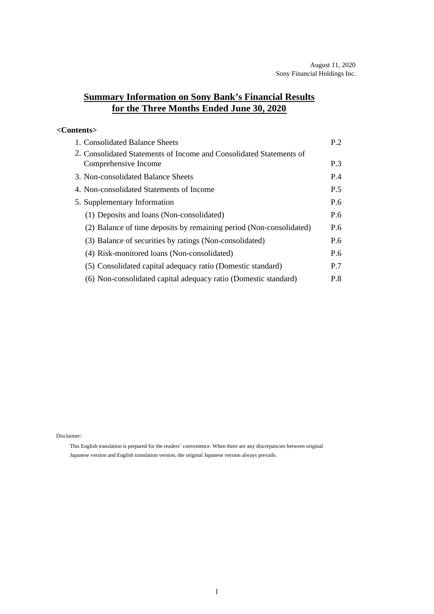## **Summary Information on Sony Bank's Financial Results for the Three Months Ended June 30, 2020**

#### **<Contents>**

| 1. Consolidated Balance Sheets                                      | P.2 |
|---------------------------------------------------------------------|-----|
| 2. Consolidated Statements of Income and Consolidated Statements of |     |
| Comprehensive Income                                                | P.3 |
| 3. Non-consolidated Balance Sheets                                  | P.4 |
| 4. Non-consolidated Statements of Income                            | P.5 |
| 5. Supplementary Information                                        | P.6 |
| (1) Deposits and loans (Non-consolidated)                           | P.6 |
| (2) Balance of time deposits by remaining period (Non-consolidated) | P.6 |
| (3) Balance of securities by ratings (Non-consolidated)             | P.6 |
| (4) Risk-monitored loans (Non-consolidated)                         | P.6 |
| (5) Consolidated capital adequacy ratio (Domestic standard)         | P.7 |
| (6) Non-consolidated capital adequacy ratio (Domestic standard)     | P.8 |

Disclaimer:

This English translation is prepared for the readers' convenience. When there are any discrepancies between original Japanese version and English translation version, the original Japanese version always prevails.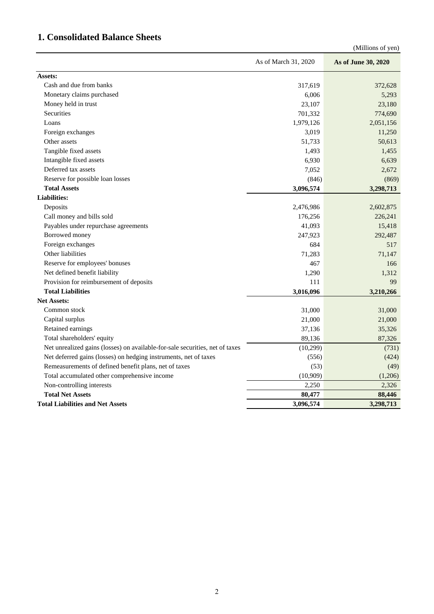# **1. Consolidated Balance Sheets**

| (Millions of yen)                                                            |                      |                     |  |
|------------------------------------------------------------------------------|----------------------|---------------------|--|
|                                                                              | As of March 31, 2020 | As of June 30, 2020 |  |
| Assets:                                                                      |                      |                     |  |
| Cash and due from banks                                                      | 317,619              | 372,628             |  |
| Monetary claims purchased                                                    | 6,006                | 5,293               |  |
| Money held in trust                                                          | 23,107               | 23,180              |  |
| Securities                                                                   | 701,332              | 774,690             |  |
| Loans                                                                        | 1,979,126            | 2,051,156           |  |
| Foreign exchanges                                                            | 3,019                | 11,250              |  |
| Other assets                                                                 | 51,733               | 50,613              |  |
| Tangible fixed assets                                                        | 1,493                | 1,455               |  |
| Intangible fixed assets                                                      | 6,930                | 6,639               |  |
| Deferred tax assets                                                          | 7,052                | 2,672               |  |
| Reserve for possible loan losses                                             | (846)                | (869)               |  |
| <b>Total Assets</b>                                                          | 3,096,574            | 3,298,713           |  |
| <b>Liabilities:</b>                                                          |                      |                     |  |
| Deposits                                                                     | 2,476,986            | 2,602,875           |  |
| Call money and bills sold                                                    | 176,256              | 226,241             |  |
| Payables under repurchase agreements                                         | 41,093               | 15,418              |  |
| Borrowed money                                                               | 247,923              | 292,487             |  |
| Foreign exchanges                                                            | 684                  | 517                 |  |
| Other liabilities                                                            | 71,283               | 71,147              |  |
| Reserve for employees' bonuses                                               | 467                  | 166                 |  |
| Net defined benefit liability                                                | 1,290                | 1,312               |  |
| Provision for reimbursement of deposits                                      | 111                  | 99                  |  |
| <b>Total Liabilities</b>                                                     | 3,016,096            | 3,210,266           |  |
| <b>Net Assets:</b>                                                           |                      |                     |  |
| Common stock                                                                 | 31,000               | 31,000              |  |
| Capital surplus                                                              | 21,000               | 21,000              |  |
| Retained earnings                                                            | 37,136               | 35,326              |  |
| Total shareholders' equity                                                   | 89,136               | 87,326              |  |
| Net unrealized gains (losses) on available-for-sale securities, net of taxes | (10, 299)            | (731)               |  |
| Net deferred gains (losses) on hedging instruments, net of taxes             | (556)                | (424)               |  |
| Remeasurements of defined benefit plans, net of taxes                        | (53)                 | (49)                |  |
| Total accumulated other comprehensive income                                 | (10,909)             | (1,206)             |  |
| Non-controlling interests                                                    | 2,250                | 2,326               |  |
| <b>Total Net Assets</b>                                                      | 80,477               | 88,446              |  |
| <b>Total Liabilities and Net Assets</b>                                      | 3,096,574            | 3,298,713           |  |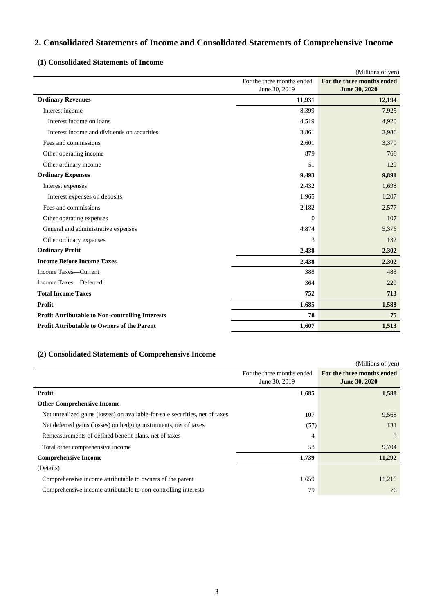## **2. Consolidated Statements of Income and Consolidated Statements of Comprehensive Income**

#### **(1) Consolidated Statements of Income**

|                                                         |                                             | (Millions of yen)                                  |
|---------------------------------------------------------|---------------------------------------------|----------------------------------------------------|
|                                                         | For the three months ended<br>June 30, 2019 | For the three months ended<br><b>June 30, 2020</b> |
| <b>Ordinary Revenues</b>                                | 11,931                                      | 12,194                                             |
| Interest income                                         | 8,399                                       | 7,925                                              |
| Interest income on loans                                | 4,519                                       | 4,920                                              |
| Interest income and dividends on securities             | 3,861                                       | 2,986                                              |
| Fees and commissions                                    | 2,601                                       | 3,370                                              |
| Other operating income                                  | 879                                         | 768                                                |
| Other ordinary income                                   | 51                                          | 129                                                |
| <b>Ordinary Expenses</b>                                | 9,493                                       | 9,891                                              |
| Interest expenses                                       | 2,432                                       | 1,698                                              |
| Interest expenses on deposits                           | 1,965                                       | 1,207                                              |
| Fees and commissions                                    | 2,182                                       | 2,577                                              |
| Other operating expenses                                | $\mathbf{0}$                                | 107                                                |
| General and administrative expenses                     | 4,874                                       | 5,376                                              |
| Other ordinary expenses                                 | 3                                           | 132                                                |
| <b>Ordinary Profit</b>                                  | 2,438                                       | 2,302                                              |
| <b>Income Before Income Taxes</b>                       | 2,438                                       | 2,302                                              |
| Income Taxes—Current                                    | 388                                         | 483                                                |
| Income Taxes-Deferred                                   | 364                                         | 229                                                |
| <b>Total Income Taxes</b>                               | 752                                         | 713                                                |
| Profit                                                  | 1,685                                       | 1,588                                              |
| <b>Profit Attributable to Non-controlling Interests</b> | 78                                          | 75                                                 |
| <b>Profit Attributable to Owners of the Parent</b>      | 1,607                                       | 1,513                                              |

### **(2) Consolidated Statements of Comprehensive Income**

|                                                                              |                                             | (Millions of yen)                                  |
|------------------------------------------------------------------------------|---------------------------------------------|----------------------------------------------------|
|                                                                              | For the three months ended<br>June 30, 2019 | For the three months ended<br><b>June 30, 2020</b> |
| Profit                                                                       | 1,685                                       | 1,588                                              |
| <b>Other Comprehensive Income</b>                                            |                                             |                                                    |
| Net unrealized gains (losses) on available-for-sale securities, net of taxes | 107                                         | 9,568                                              |
| Net deferred gains (losses) on hedging instruments, net of taxes             | (57)                                        | 131                                                |
| Remeasurements of defined benefit plans, net of taxes                        | 4                                           | 3                                                  |
| Total other comprehensive income                                             | 53                                          | 9,704                                              |
| <b>Comprehensive Income</b>                                                  | 1,739                                       | 11,292                                             |
| (Details)                                                                    |                                             |                                                    |
| Comprehensive income attributable to owners of the parent                    | 1,659                                       | 11,216                                             |
| Comprehensive income attributable to non-controlling interests               | 79                                          | 76                                                 |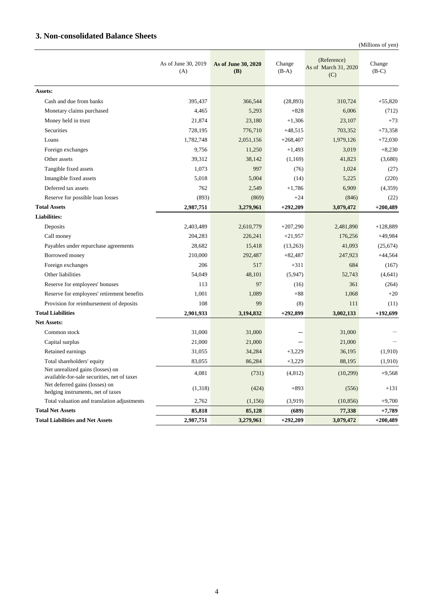### **3. Non-consolidated Balance Sheets**

(Millions of yen)

|                                                                                 | As of June 30, 2019<br>(A) | As of June 30, 2020<br>(B) | Change<br>$(B-A)$ | (Reference)<br>As of March 31, 2020<br>(C) | Change<br>$(B-C)$ |
|---------------------------------------------------------------------------------|----------------------------|----------------------------|-------------------|--------------------------------------------|-------------------|
| Assets:                                                                         |                            |                            |                   |                                            |                   |
| Cash and due from banks                                                         | 395,437                    | 366,544                    | (28, 893)         | 310,724                                    | $+55.820$         |
| Monetary claims purchased                                                       | 4,465                      | 5,293                      | $+828$            | 6,006                                      | (712)             |
| Money held in trust                                                             | 21,874                     | 23,180                     | $+1,306$          | 23,107                                     | $+73$             |
| Securities                                                                      | 728,195                    | 776,710                    | $+48,515$         | 703,352                                    | $+73,358$         |
| Loans                                                                           | 1,782,748                  | 2,051,156                  | $+268,407$        | 1,979,126                                  | $+72,030$         |
| Foreign exchanges                                                               | 9,756                      | 11,250                     | $+1,493$          | 3,019                                      | $+8,230$          |
| Other assets                                                                    | 39,312                     | 38,142                     | (1,169)           | 41,823                                     | (3,680)           |
| Tangible fixed assets                                                           | 1,073                      | 997                        | (76)              | 1,024                                      | (27)              |
| Intangible fixed assets                                                         | 5,018                      | 5,004                      | (14)              | 5,225                                      | (220)             |
| Deferred tax assets                                                             | 762                        | 2,549                      | $+1,786$          | 6,909                                      | (4,359)           |
| Reserve for possible loan losses                                                | (893)                      | (869)                      | $+24$             | (846)                                      | (22)              |
| <b>Total Assets</b>                                                             | 2,987,751                  | 3,279,961                  | $+292,209$        | 3,079,472                                  | $+200,489$        |
| <b>Liabilities:</b>                                                             |                            |                            |                   |                                            |                   |
| Deposits                                                                        | 2,403,489                  | 2,610,779                  | $+207,290$        | 2,481,890                                  | $+128,889$        |
| Call money                                                                      | 204,283                    | 226,241                    | $+21,957$         | 176,256                                    | $+49.984$         |
| Payables under repurchase agreements                                            | 28,682                     | 15,418                     | (13,263)          | 41,093                                     | (25, 674)         |
| Borrowed money                                                                  | 210,000                    | 292,487                    | $+82,487$         | 247,923                                    | $+44,564$         |
| Foreign exchanges                                                               | 206                        | 517                        | $+311$            | 684                                        | (167)             |
| Other liabilities                                                               | 54,049                     | 48,101                     | (5,947)           | 52,743                                     | (4,641)           |
| Reserve for employees' bonuses                                                  | 113                        | 97                         | (16)              | 361                                        | (264)             |
| Reserve for employees' retirement benefits                                      | 1,001                      | 1,089                      | $+88$             | 1,068                                      | $+20$             |
| Provision for reimbursement of deposits                                         | 108                        | 99                         | (8)               | 111                                        | (11)              |
| <b>Total Liabilities</b>                                                        | 2,901,933                  | 3,194,832                  | $+292,899$        | 3,002,133                                  | $+192,699$        |
| <b>Net Assets:</b>                                                              |                            |                            |                   |                                            |                   |
| Common stock                                                                    | 31,000                     | 31,000                     |                   | 31,000                                     |                   |
| Capital surplus                                                                 | 21,000                     | 21,000                     |                   | 21,000                                     |                   |
| Retained earnings                                                               | 31,055                     | 34,284                     | $+3,229$          | 36,195                                     | (1,910)           |
| Total shareholders' equity                                                      | 83,055                     | 86,284                     | $+3,229$          | 88,195                                     | (1,910)           |
| Net unrealized gains (losses) on<br>available-for-sale securities, net of taxes | 4,081                      | (731)                      | (4, 812)          | (10, 299)                                  | $+9,568$          |
| Net deferred gains (losses) on<br>hedging instruments, net of taxes             | (1,318)                    | (424)                      | $+893$            | (556)                                      | $+131$            |
| Total valuation and translation adjustments                                     | 2,762                      | (1,156)                    | (3,919)           | (10, 856)                                  | $+9,700$          |
| <b>Total Net Assets</b>                                                         | 85,818                     | 85,128                     | (689)             | 77,338                                     | $+7,789$          |
| <b>Total Liabilities and Net Assets</b>                                         | 2,987,751                  | 3,279,961                  | $+292,209$        | 3,079,472                                  | $+200,489$        |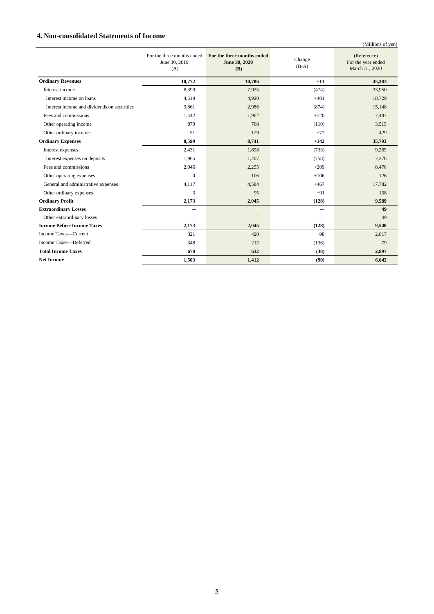#### **4. Non-consolidated Statements of Income**

|                                             |                                                    |                                                           |                   | (Millions of yen)                                   |
|---------------------------------------------|----------------------------------------------------|-----------------------------------------------------------|-------------------|-----------------------------------------------------|
|                                             | For the three months ended<br>June 30, 2019<br>(A) | For the three months ended<br>June 30, 2020<br><b>(B)</b> | Change<br>$(B-A)$ | (Reference)<br>For the year ended<br>March 31, 2020 |
| <b>Ordinary Revenues</b>                    | 10,772                                             | 10,786                                                    | $+13$             | 45,383                                              |
| Interest income                             | 8,399                                              | 7,925                                                     | (474)             | 33,950                                              |
| Interest income on loans                    | 4,519                                              | 4,920                                                     | $+401$            | 18,729                                              |
| Interest income and dividends on securities | 3,861                                              | 2,986                                                     | (874)             | 15,148                                              |
| Fees and commissions                        | 1,442                                              | 1,962                                                     | $+520$            | 7,487                                               |
| Other operating income                      | 879                                                | 768                                                       | (110)             | 3,515                                               |
| Other ordinary income                       | 51                                                 | 129                                                       | $+77$             | 429                                                 |
| <b>Ordinary Expenses</b>                    | 8,599                                              | 8,741                                                     | $+142$            | 35,793                                              |
| Interest expenses                           | 2,431                                              | 1,698                                                     | (733)             | 9,269                                               |
| Interest expenses on deposits               | 1,965                                              | 1,207                                                     | (758)             | 7,276                                               |
| Fees and commissions                        | 2,046                                              | 2,255                                                     | $+209$            | 8,476                                               |
| Other operating expenses                    | $\mathbf{0}$                                       | 106                                                       | $+106$            | 126                                                 |
| General and administrative expenses         | 4,117                                              | 4,584                                                     | $+467$            | 17,782                                              |
| Other ordinary expenses                     | 3                                                  | 95                                                        | $+91$             | 138                                                 |
| <b>Ordinary Profit</b>                      | 2,173                                              | 2,045                                                     | (128)             | 9,589                                               |
| <b>Extraordinary Losses</b>                 |                                                    |                                                           | —                 | 49                                                  |
| Other extraordinary losses                  |                                                    |                                                           |                   | 49                                                  |
| <b>Income Before Income Taxes</b>           | 2.173                                              | 2,045                                                     | (128)             | 9,540                                               |
| Income Taxes-Current                        | 321                                                | 420                                                       | $+98$             | 2,817                                               |
| Income Taxes-Deferred                       | 348                                                | 212                                                       | (136)             | 79                                                  |
| <b>Total Income Taxes</b>                   | 670                                                | 632                                                       | (38)              | 2,897                                               |
| <b>Net Income</b>                           | 1.503                                              | 1.412                                                     | (90)              | 6.642                                               |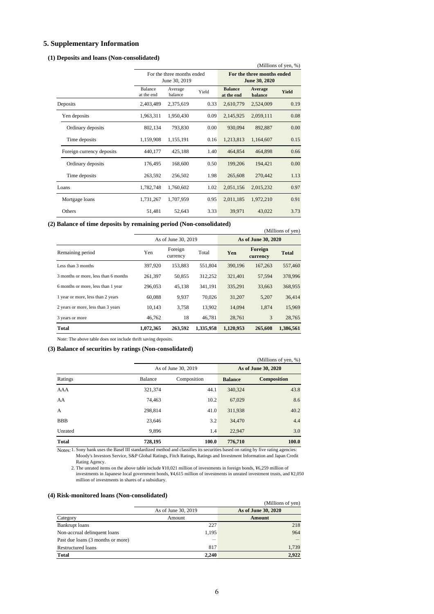#### **5. Supplementary Information**

#### **(1) Deposits and loans (Non-consolidated)**

| (Millions of yen, %)      |                                             |                             |      |                                             |                    |              |
|---------------------------|---------------------------------------------|-----------------------------|------|---------------------------------------------|--------------------|--------------|
|                           | For the three months ended<br>June 30, 2019 |                             |      | For the three months ended<br>June 30, 2020 |                    |              |
|                           | Balance<br>at the end                       | Average<br>Yield<br>balance |      | <b>Balance</b><br>at the end                | Average<br>balance | <b>Yield</b> |
| Deposits                  | 2,403,489                                   | 2,375,619                   | 0.33 | 2,610,779                                   | 2,524,009          | 0.19         |
| Yen deposits              | 1,963,311                                   | 1,950,430                   | 0.09 | 2,145,925                                   | 2,059,111          | 0.08         |
| Ordinary deposits         | 802,134                                     | 793,830                     | 0.00 | 930,094                                     | 892,887            | 0.00         |
| Time deposits             | 1,159,908                                   | 1,155,191                   | 0.16 | 1,213,813                                   | 1,164,607          | 0.15         |
| Foreign currency deposits | 440,177                                     | 425,188                     | 1.40 | 464,854                                     | 464,898            | 0.66         |
| Ordinary deposits         | 176,495                                     | 168,600                     | 0.50 | 199,206                                     | 194,421            | 0.00         |
| Time deposits             | 263,592                                     | 256,502                     | 1.98 | 265,608                                     | 270,442            | 1.13         |
| Loans                     | 1,782,748                                   | 1,760,602                   | 1.02 | 2,051,156                                   | 2,015,232          | 0.97         |
| Mortgage loans            | 1,731,267                                   | 1,707,959                   | 0.95 | 2,011,185                                   | 1,972,210          | 0.91         |
| Others                    | 51,481                                      | 52,643                      | 3.33 | 39,971                                      | 43,022             | 3.73         |

**(2) Balance of time deposits by remaining period (Non-consolidated)** 

| Durance of this aeposits by Femaning perfour profit consolidated |           |                     |           |           | (Millions of yen)   |              |
|------------------------------------------------------------------|-----------|---------------------|-----------|-----------|---------------------|--------------|
|                                                                  |           | As of June 30, 2019 |           |           | As of June 30, 2020 |              |
| Remaining period                                                 | Yen       | Foreign<br>currency | Total     | Yen       | Foreign<br>currency | <b>Total</b> |
| Less than 3 months                                               | 397,920   | 153.883             | 551.804   | 390.196   | 167,263             | 557,460      |
| 3 months or more, less than 6 months                             | 261,397   | 50,855              | 312,252   | 321,401   | 57,594              | 378,996      |
| 6 months or more, less than 1 year                               | 296,053   | 45,138              | 341.191   | 335,291   | 33,663              | 368,955      |
| 1 year or more, less than 2 years                                | 60,088    | 9,937               | 70.026    | 31,207    | 5,207               | 36,414       |
| 2 years or more, less than 3 years                               | 10,143    | 3,758               | 13,902    | 14,094    | 1,874               | 15,969       |
| 3 years or more                                                  | 46.762    | 18                  | 46.781    | 28,761    | 3                   | 28,765       |
| <b>Total</b>                                                     | 1,072,365 | 263,592             | 1,335,958 | 1,120,953 | 265,608             | 1,386,561    |

Note: The above table does not include thrift saving deposits.

#### **(3) Balance of securities by ratings (Non-consolidated)**

|              |         |                     |                | (Millions of yen, %) |
|--------------|---------|---------------------|----------------|----------------------|
|              |         | As of June 30, 2019 |                | As of June 30, 2020  |
| Ratings      | Balance | Composition         | <b>Balance</b> | <b>Composition</b>   |
| <b>AAA</b>   | 321.374 | 44.1                | 340,324        | 43.8                 |
| AA           | 74,463  | 10.2                | 67,029         | 8.6                  |
| A            | 298.814 | 41.0                | 311,938        | 40.2                 |
| <b>BBB</b>   | 23,646  | 3.2                 | 34,470         | 4.4                  |
| Unrated      | 9,896   | 1.4                 | 22,947         | 3.0                  |
| <b>Total</b> | 728.195 | 100.0               | 776,710        | 100.0                |

Notes: 1. Sony bank uses the Basel III standardized method and classifies its securities based on rating by five rating agencies: Moody's Investors Service, S&P Global Ratings, Fitch Ratings, Ratings and Investment Information and Japan Credit Rating Agency.

2. The unrated items on the above table include ¥10,021 million of investments in foreign bonds, ¥6,259 million of investments in Japanese local government bonds, ¥4,615 million of investments in unrated investment trusts, and ¥2,050 million of investments in shares of a subsidiary.

#### **(4) Risk-monitored loans (Non-consolidated)**

|                                   |                     | (Millions of yen)   |
|-----------------------------------|---------------------|---------------------|
|                                   | As of June 30, 2019 | As of June 30, 2020 |
| Category                          | Amount              | Amount              |
| Bankrupt loans                    | 227                 | 218                 |
| Non-accrual delinquent loans      | 1,195               | 964                 |
| Past due loans (3 months or more) |                     |                     |
| Restructured loans                | 817                 | 1,739               |
| <b>Total</b>                      | 2.240               | 2,922               |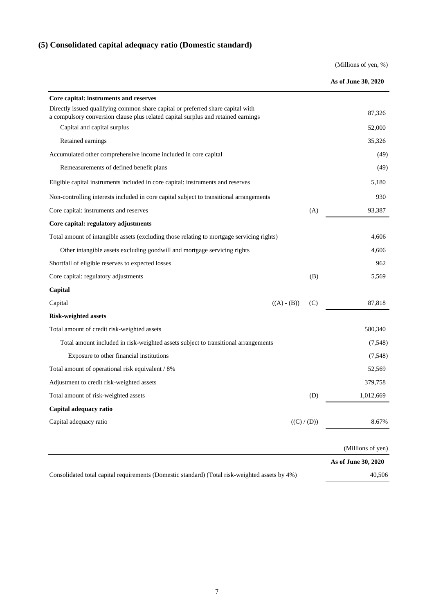# **(5) Consolidated capital adequacy ratio (Domestic standard)**

(Millions of yen, %)

|                                                                                                                                                                      |                      | As of June 30, 2020 |
|----------------------------------------------------------------------------------------------------------------------------------------------------------------------|----------------------|---------------------|
| Core capital: instruments and reserves                                                                                                                               |                      |                     |
| Directly issued qualifying common share capital or preferred share capital with<br>a compulsory conversion clause plus related capital surplus and retained earnings |                      | 87,326              |
| Capital and capital surplus                                                                                                                                          |                      | 52,000              |
| Retained earnings                                                                                                                                                    |                      | 35,326              |
| Accumulated other comprehensive income included in core capital                                                                                                      |                      | (49)                |
| Remeasurements of defined benefit plans                                                                                                                              |                      | (49)                |
| Eligible capital instruments included in core capital: instruments and reserves                                                                                      |                      | 5,180               |
| Non-controlling interests included in core capital subject to transitional arrangements                                                                              |                      | 930                 |
| Core capital: instruments and reserves                                                                                                                               | (A)                  | 93,387              |
| Core capital: regulatory adjustments                                                                                                                                 |                      |                     |
| Total amount of intangible assets (excluding those relating to mortgage servicing rights)                                                                            |                      | 4,606               |
| Other intangible assets excluding goodwill and mortgage servicing rights                                                                                             |                      | 4,606               |
| Shortfall of eligible reserves to expected losses                                                                                                                    |                      | 962                 |
| Core capital: regulatory adjustments                                                                                                                                 | (B)                  | 5,569               |
| Capital                                                                                                                                                              |                      |                     |
| Capital                                                                                                                                                              | $((A) - (B))$<br>(C) | 87,818              |
| <b>Risk-weighted assets</b>                                                                                                                                          |                      |                     |
| Total amount of credit risk-weighted assets                                                                                                                          |                      | 580,340             |
| Total amount included in risk-weighted assets subject to transitional arrangements                                                                                   |                      | (7,548)             |
| Exposure to other financial institutions                                                                                                                             |                      | (7,548)             |
| Total amount of operational risk equivalent / 8%                                                                                                                     |                      | 52,569              |
| Adjustment to credit risk-weighted assets                                                                                                                            |                      | 379,758             |
| Total amount of risk-weighted assets                                                                                                                                 | (D)                  | 1,012,669           |
| Capital adequacy ratio                                                                                                                                               |                      |                     |
| Capital adequacy ratio                                                                                                                                               | ((C) / (D))          | 8.67%               |
|                                                                                                                                                                      |                      | (Millions of yen)   |
|                                                                                                                                                                      |                      | As of June 30, 2020 |
|                                                                                                                                                                      |                      |                     |

Consolidated total capital requirements (Domestic standard) (Total risk-weighted assets by 4%) 40,506